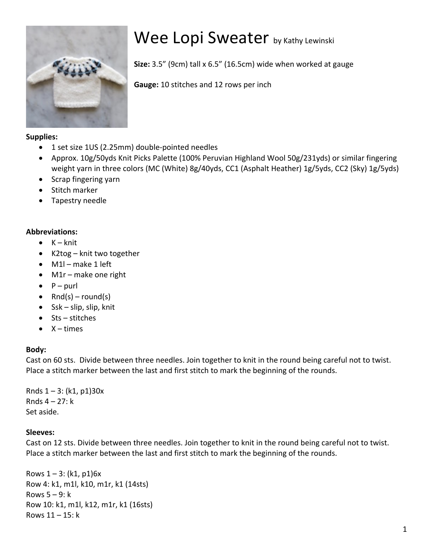

# Wee Lopi Sweater by Kathy Lewinski

**Size:** 3.5" (9cm) tall x 6.5" (16.5cm) wide when worked at gauge

**Gauge:** 10 stitches and 12 rows per inch

### **Supplies:**

- 1 set size 1US (2.25mm) double-pointed needles
- Approx. 10g/50yds Knit Picks Palette (100% Peruvian Highland Wool 50g/231yds) or similar fingering weight yarn in three colors (MC (White) 8g/40yds, CC1 (Asphalt Heather) 1g/5yds, CC2 (Sky) 1g/5yds)
- Scrap fingering yarn
- Stitch marker
- Tapestry needle

## **Abbreviations:**

- $\bullet$   $K k$ nit
- K2tog knit two together
- $\bullet$  M1 $l$  make 1 left
- $\bullet$  M1r make one right
- $\bullet$  P purl
- Rnd(s) round(s)
- $Ssk slip$ , slip, knit
- $•$  Sts stitches
- $\bullet$  X times

## **Body:**

Cast on 60 sts. Divide between three needles. Join together to knit in the round being careful not to twist. Place a stitch marker between the last and first stitch to mark the beginning of the rounds.

Rnds  $1 - 3$ : (k1, p1)30x Rnds  $4 - 27$ : k Set aside.

## **Sleeves:**

Cast on 12 sts. Divide between three needles. Join together to knit in the round being careful not to twist. Place a stitch marker between the last and first stitch to mark the beginning of the rounds.

Rows  $1 - 3$ : (k1, p1)6x Row 4: k1, m1l, k10, m1r, k1 (14sts) Rows  $5 - 9$ : k Row 10: k1, m1l, k12, m1r, k1 (16sts) Rows  $11 - 15$ : k